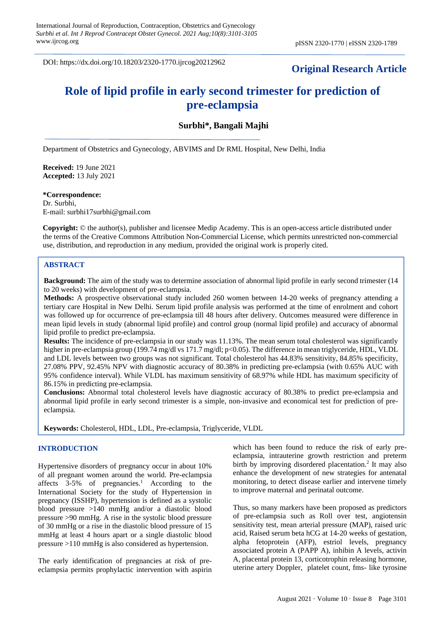DOI: https://dx.doi.org/10.18203/2320-1770.ijrcog20212962

## **Original Research Article**

# **Role of lipid profile in early second trimester for prediction of pre-eclampsia**

## **Surbhi\*, Bangali Majhi**

Department of Obstetrics and Gynecology, ABVIMS and Dr RML Hospital, New Delhi, India

**Received:** 19 June 2021 **Accepted:** 13 July 2021

**\*Correspondence:** Dr. Surbhi,

E-mail: surbhi17surbhi@gmail.com

**Copyright:** © the author(s), publisher and licensee Medip Academy. This is an open-access article distributed under the terms of the Creative Commons Attribution Non-Commercial License, which permits unrestricted non-commercial use, distribution, and reproduction in any medium, provided the original work is properly cited.

## **ABSTRACT**

**Background:** The aim of the study was to determine association of abnormal lipid profile in early second trimester (14 to 20 weeks) with development of pre-eclampsia.

**Methods:** A prospective observational study included 260 women between 14-20 weeks of pregnancy attending a tertiary care Hospital in New Delhi. Serum lipid profile analysis was performed at the time of enrolment and cohort was followed up for occurrence of pre-eclampsia till 48 hours after delivery. Outcomes measured were difference in mean lipid levels in study (abnormal lipid profile) and control group (normal lipid profile) and accuracy of abnormal lipid profile to predict pre-eclampsia.

**Results:** The incidence of pre-eclampsia in our study was 11.13%. The mean serum total cholesterol was significantly higher in pre-eclampsia group (199.74 mg/dl vs 171.7 mg/dl; p<0.05). The difference in mean triglyceride, HDL, VLDL and LDL levels between two groups was not significant. Total cholesterol has 44.83% sensitivity, 84.85% specificity, 27.08% PPV, 92.45% NPV with diagnostic accuracy of 80.38% in predicting pre-eclampsia (with 0.65% AUC with 95% confidence interval). While VLDL has maximum sensitivity of 68.97% while HDL has maximum specificity of 86.15% in predicting pre-eclampsia.

**Conclusions:** Abnormal total cholesterol levels have diagnostic accuracy of 80.38% to predict pre-eclampsia and abnormal lipid profile in early second trimester is a simple, non-invasive and economical test for prediction of preeclampsia.

**Keywords:** Cholesterol, HDL, LDL, Pre-eclampsia, Triglyceride, VLDL

#### **INTRODUCTION**

Hypertensive disorders of pregnancy occur in about 10% of all pregnant women around the world. Pre-eclampsia affects 3-5% of pregnancies.<sup>1</sup> According to the International Society for the study of Hypertension in pregnancy (ISSHP), hypertension is defined as a systolic blood pressure >140 mmHg and/or a diastolic blood pressure >90 mmHg. A rise in the systolic blood pressure of 30 mmHg or a rise in the diastolic blood pressure of 15 mmHg at least 4 hours apart or a single diastolic blood pressure >110 mmHg is also considered as hypertension.

The early identification of pregnancies at risk of preeclampsia permits prophylactic intervention with aspirin which has been found to reduce the risk of early preeclampsia, intrauterine growth restriction and preterm birth by improving disordered placentation.<sup>2</sup> It may also enhance the development of new strategies for antenatal monitoring, to detect disease earlier and intervene timely to improve maternal and perinatal outcome.

Thus, so many markers have been proposed as predictors of pre-eclampsia such as Roll over test, angiotensin sensitivity test, mean arterial pressure (MAP), raised uric acid, Raised serum beta hCG at 14-20 weeks of gestation, alpha fetoprotein (AFP), estriol levels, pregnancy associated protein A (PAPP A), inhibin A levels, activin A, placental protein 13, corticotrophin releasing hormone, uterine artery Doppler, platelet count, fms- like tyrosine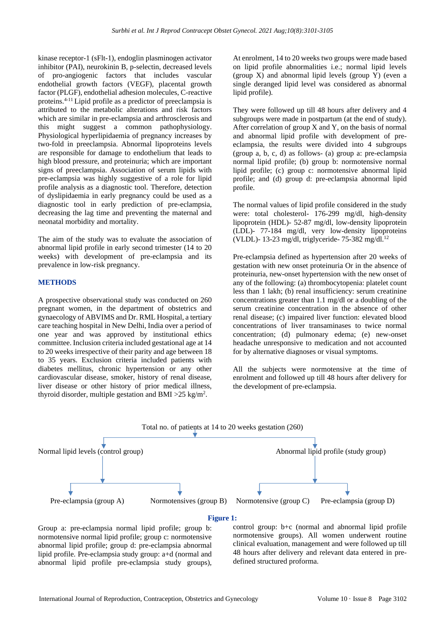kinase receptor-1 (sFlt-1), endoglin plasminogen activator inhibitor (PAI), neurokinin B, p-selectin, decreased levels of pro-angiogenic factors that includes vascular endothelial growth factors (VEGF), placental growth factor (PLGF), endothelial adhesion molecules, C-reactive proteins.4-11 Lipid profile as a predictor of preeclampsia is attributed to the metabolic alterations and risk factors which are similar in pre-eclampsia and arthrosclerosis and this might suggest a common pathophysiology. Physiological hyperlipidaemia of pregnancy increases by two-fold in preeclampsia. Abnormal lipoproteins levels are responsible for damage to endothelium that leads to high blood pressure, and proteinuria; which are important signs of preeclampsia. Association of serum lipids with pre-eclampsia was highly suggestive of a role for lipid profile analysis as a diagnostic tool. Therefore, detection of dyslipidaemia in early pregnancy could be used as a diagnostic tool in early prediction of pre-eclampsia, decreasing the lag time and preventing the maternal and neonatal morbidity and mortality.

The aim of the study was to evaluate the association of abnormal lipid profile in early second trimester (14 to 20 weeks) with development of pre-eclampsia and its prevalence in low-risk pregnancy.

#### **METHODS**

A prospective observational study was conducted on 260 pregnant women, in the department of obstetrics and gynaecology of ABVIMS and Dr. RML Hospital, a tertiary care teaching hospital in New Delhi, India over a period of one year and was approved by institutional ethics committee. Inclusion criteria included gestational age at 14 to 20 weeks irrespective of their parity and age between 18 to 35 years. Exclusion criteria included patients with diabetes mellitus, chronic hypertension or any other cardiovascular disease, smoker, history of renal disease, liver disease or other history of prior medical illness, thyroid disorder, multiple gestation and BMI  $>25$  kg/m<sup>2</sup>.

At enrolment, 14 to 20 weeks two groups were made based on lipid profile abnormalities i.e.; normal lipid levels (group X) and abnormal lipid levels (group Y) (even a single deranged lipid level was considered as abnormal lipid profile).

They were followed up till 48 hours after delivery and 4 subgroups were made in postpartum (at the end of study). After correlation of group  $X$  and  $Y$ , on the basis of normal and abnormal lipid profile with development of preeclampsia, the results were divided into 4 subgroups (group a, b, c, d) as follows- (a) group a: pre-eclampsia normal lipid profile; (b) group b: normotensive normal lipid profile; (c) group c: normotensive abnormal lipid profile; and (d) group d: pre-eclampsia abnormal lipid profile.

The normal values of lipid profile considered in the study were: total cholesterol- 176-299 mg/dl, high-density lipoprotein (HDL)- 52-87 mg/dl, low-density lipoprotein (LDL)- 77-184 mg/dl, very low-density lipoproteins (VLDL)- 13-23 mg/dl, triglyceride- 75-382 mg/dl.<sup>12</sup>

Pre-eclampsia defined as hypertension after 20 weeks of gestation with new onset proteinuria Or in the absence of proteinuria, new-onset hypertension with the new onset of any of the following: (a) thrombocytopenia: platelet count less than 1 lakh; (b) renal insufficiency: serum creatinine concentrations greater than 1.1 mg/dl or a doubling of the serum creatinine concentration in the absence of other renal disease; (c) impaired liver function: elevated blood concentrations of liver transaminases to twice normal concentration; (d) pulmonary edema; (e) new-onset headache unresponsive to medication and not accounted for by alternative diagnoses or visual symptoms.

All the subjects were normotensive at the time of enrolment and followed up till 48 hours after delivery for the development of pre-eclampsia.



Group a: pre-eclampsia normal lipid profile; group b: normotensive normal lipid profile; group c: normotensive abnormal lipid profile; group d: pre-eclampsia abnormal lipid profile. Pre-eclampsia study group: a+d (normal and abnormal lipid profile pre-eclampsia study groups), control group: b+c (normal and abnormal lipid profile normotensive groups). All women underwent routine clinical evaluation, management and were followed up till 48 hours after delivery and relevant data entered in predefined structured proforma.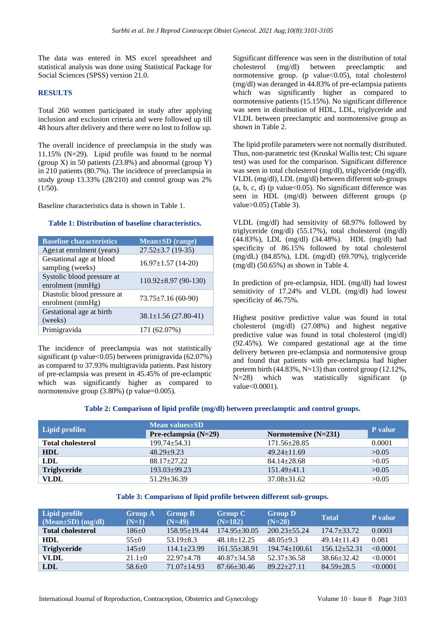The data was entered in MS excel spreadsheet and statistical analysis was done using Statistical Package for Social Sciences (SPSS) version 21.0.

## **RESULTS**

Total 260 women participated in study after applying inclusion and exclusion criteria and were followed up till 48 hours after delivery and there were no lost to follow up.

The overall incidence of preeclampsia in the study was 11.15% (N=29). Lipid profile was found to be normal (group X) in 50 patients  $(23.8\%)$  and abnormal (group Y) in 210 patients (80.7%). The incidence of preeclampsia in study group 13.33% (28/210) and control group was 2%  $(1/50)$ .

Baseline characteristics data is shown in Table 1.

#### **Table 1: Distribution of baseline characteristics.**

| <b>Baseline characteristics</b>                 | Mean±SD (range)            |
|-------------------------------------------------|----------------------------|
| $Age \pm at$ enrolment (years)                  | $27.52 \pm 3.7$ (19-35)    |
| Gestational age at blood<br>sampling (weeks)    | $16.97 \pm 1.57$ (14-20)   |
| Systolic blood pressure at<br>enrolment (mmHg)  | $110.92 \pm 8.97$ (90-130) |
| Diastolic blood pressure at<br>enrolment (mmHg) | $73.75 \pm 7.16(60-90)$    |
| Gestational age at birth<br>(weeks)             | $38.1 \pm 1.56$ (27.80-41) |
| Primigravida                                    | 171 (62.07%)               |

The incidence of preeclampsia was not statistically significant (p value< $0.05$ ) between primigravida (62.07%) as compared to 37.93% multigravida patients. Past history of pre-eclampsia was present in 45.45% of pre-eclamptic which was significantly higher as compared to normotensive group (3.80%) (p value=0.005).

Significant difference was seen in the distribution of total cholesterol (mg/dl) between preeclamptic and normotensive group. (p value<0.05), total cholesterol (mg/dl) was deranged in 44.83% of pre-eclampsia patients which was significantly higher as compared to normotensive patients (15.15%). No significant difference was seen in distribution of HDL, LDL, triglyceride and VLDL between preeclamptic and normotensive group as shown in Table 2.

The lipid profile parameters were not normally distributed. Thus, non-parametric test (Kruskal Wallis test; Chi square test) was used for the comparison. Significant difference was seen in total cholesterol (mg/dl), triglyceride (mg/dl), VLDL (mg/dl), LDL (mg/dl) between different sub-groups  $(a, b, c, d)$  (p value<0.05). No significant difference was seen in HDL (mg/dl) between different groups (p value>0.05) (Table 3).

VLDL (mg/dl) had sensitivity of 68.97% followed by triglyceride (mg/dl) (55.17%), total cholesterol (mg/dl) (44.83%), LDL (mg/dl) (34.48%). HDL (mg/dl) had specificity of 86.15% followed by total cholesterol (mg/dL) (84.85%), LDL (mg/dl) (69.70%), triglyceride (mg/dl) (50.65%) as shown in Table 4.

In prediction of pre-eclampsia, HDL (mg/dl) had lowest sensitivity of 17.24% and VLDL (mg/dl) had lowest specificity of 46.75%.

Highest positive predictive value was found in total cholesterol (mg/dl) (27.08%) and highest negative predictive value was found in total cholesterol (mg/dl) (92.45%). We compared gestational age at the time delivery between pre-eclampsia and normotensive group and found that patients with pre-eclampsia had higher preterm birth (44.83%, N=13) than control group (12.12%, N=28) which was statistically significant (p value<0.0001).

**Table 2: Comparison of lipid profile (mg/dl) between preeclamptic and control groups.**

| Lipid profiles           | Mean values±SD         |                        |         |  |  |
|--------------------------|------------------------|------------------------|---------|--|--|
|                          | Pre-eclampsia $(N=29)$ | Normotensive $(N=231)$ | P value |  |  |
| <b>Total cholesterol</b> | $199.74 + 54.31$       | $171.56 \pm 28.85$     | 0.0001  |  |  |
| <b>HDL</b>               | $48.29 + 9.23$         | $49.24 \pm 11.69$      | >0.05   |  |  |
| <b>LDL</b>               | $88.17 + 27.22$        | $84.14 \pm 28.68$      | >0.05   |  |  |
| <b>Triglyceride</b>      | $193.03 \pm 99.23$     | $151.49\pm41.1$        | >0.05   |  |  |
| <b>VLDL</b>              | $51.29 \pm 36.39$      | $37.08 \pm 31.62$      | >0.05   |  |  |

#### **Table 3: Comparison of lipid profile between different sub-groups.**

| Lipid profile<br>$(Mean \pm SD)$ (mg/dl) | <b>Group A</b><br>$(N=1)$ | <b>Group B</b><br>$(N=49)$ | <b>Group C</b><br>$(N=182)$ | <b>Group D</b><br>$(N=28)$ | <b>Total</b>      | P value  |
|------------------------------------------|---------------------------|----------------------------|-----------------------------|----------------------------|-------------------|----------|
| <b>Total cholesterol</b>                 | 186±0                     | $158.95 \pm 19.44$         | $174.95 \pm 30.05$          | $200.23 + 55.24$           | $174.7 + 33.72$   | 0.0003   |
| HDL                                      | $55+0$                    | $53.19 \pm 8.3$            | $48.18 \pm 12.25$           | $48.05+9.3$                | $49.14 \pm 11.43$ | 0.081    |
| <b>Triglyceride</b>                      | $145+0$                   | $114.1 \pm 23.99$          | $161.55 + 38.91$            | $194.74 \pm 100.61$        | $156.12 + 52.31$  | < 0.0001 |
| <b>VLDL</b>                              | $21.1 \pm 0$              | $22.97 + 4.78$             | $40.87 \pm 34.58$           | $52.37 \pm 36.58$          | $38.66 \pm 32.42$ | < 0.0001 |
| LDL                                      | $58.6 \pm 0$              | $71.07 \pm 14.93$          | $87.66 \pm 30.46$           | $89.22 + 27.11$            | $84.59 + 28.5$    | < 0.0001 |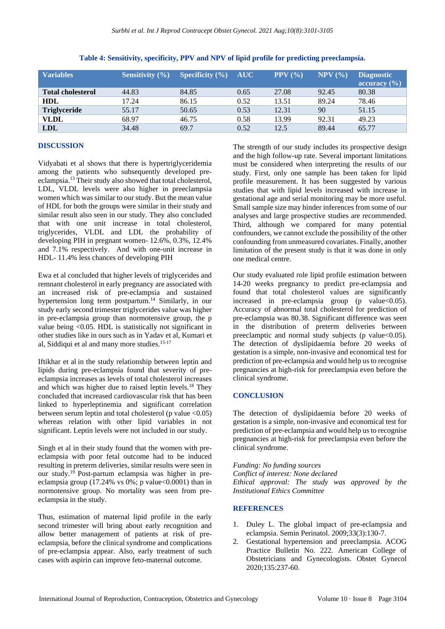| <b>Variables</b>         | <b>Sensitivity</b> $(\% )$ | <b>Specificity</b> $(\% )$ | <b>AUC</b> | PPV (%) | $NPV$ $(\% )$ | <b>Diagnostic</b><br>$\arctan(y \sim 0)$ |
|--------------------------|----------------------------|----------------------------|------------|---------|---------------|------------------------------------------|
| <b>Total cholesterol</b> | 44.83                      | 84.85                      | 0.65       | 27.08   | 92.45         | 80.38                                    |
| <b>HDL</b>               | 17.24                      | 86.15                      | 0.52       | 13.51   | 89.24         | 78.46                                    |
| <b>Triglyceride</b>      | 55.17                      | 50.65                      | 0.53       | 12.31   | 90            | 51.15                                    |
| <b>VLDL</b>              | 68.97                      | 46.75                      | 0.58       | 13.99   | 92.31         | 49.23                                    |
| <b>LDL</b>               | 34.48                      | 69.7                       | 0.52       | 12.5    | 89.44         | 65.77                                    |

**Table 4: Sensitivity, specificity, PPV and NPV of lipid profile for predicting preeclampsia.**

### **DISCUSSION**

Vidyabati et al shows that there is hypertriglyceridemia among the patients who subsequently developed preeclampsia.<sup>13</sup> Their study also showed that total cholesterol, LDL, VLDL levels were also higher in preeclampsia women which was similar to our study. But the mean value of HDL for both the groups were similar in their study and similar result also seen in our study. They also concluded that with one unit increase in total cholesterol, triglycerides, VLDL and LDL the probability of developing PIH in pregnant women- 12.6%, 0.3%, 12.4% and 7.1% respectively. And with one-unit increase in HDL- 11.4% less chances of developing PIH

Ewa et al concluded that higher levels of triglycerides and remnant cholesterol in early pregnancy are associated with an increased risk of pre-eclampsia and sustained hypertension long term postpartum.<sup>14</sup> Similarly, in our study early second trimester triglycerides value was higher in pre-eclampsia group than normotensive group, the p value being <0.05. HDL is statistically not significant in other studies like in ours such as in Yadav et al, Kumari et al, Siddiqui et al and many more studies.<sup>15-17</sup>

Iftikhar et al in the study relationship between leptin and lipids during pre-eclampsia found that severity of preeclampsia increases as levels of total cholesterol increases and which was higher due to raised leptin levels.<sup>18</sup> They concluded that increased cardiovascular risk that has been linked to hyperleptinemia and significant correlation between serum leptin and total cholesterol (p value  $\leq 0.05$ ) whereas relation with other lipid variables in not significant. Leptin levels were not included in our study.

Singh et al in their study found that the women with preeclampsia with poor fetal outcome had to be induced resulting in preterm deliveries, similar results were seen in our study.<sup>19</sup> Post-partum eclampsia was higher in preeclampsia group  $(17.24\% \text{ vs } 0\% \text{ : p value} < 0.0001)$  than in normotensive group. No mortality was seen from preeclampsia in the study.

Thus, estimation of maternal lipid profile in the early second trimester will bring about early recognition and allow better management of patients at risk of preeclampsia, before the clinical syndrome and complications of pre-eclampsia appear. Also, early treatment of such cases with aspirin can improve feto-maternal outcome.

The strength of our study includes its prospective design and the high follow-up rate. Several important limitations must be considered when interpreting the results of our study. First, only one sample has been taken for lipid profile measurement. It has been suggested by various studies that with lipid levels increased with increase in gestational age and serial monitoring may be more useful. Small sample size may hinder inferences from some of our analyses and large prospective studies are recommended. Third, although we compared for many potential confounders, we cannot exclude the possibility of the other confounding from unmeasured covariates. Finally, another limitation of the present study is that it was done in only one medical centre.

Our study evaluated role lipid profile estimation between 14-20 weeks pregnancy to predict pre-eclampsia and found that total cholesterol values are significantly increased in pre-eclampsia group  $(p \text{ value} < 0.05)$ . Accuracy of abnormal total cholesterol for prediction of pre-eclampsia was 80.38. Significant difference was seen in the distribution of preterm deliveries between preeclamptic and normal study subjects (p value $<0.05$ ). The detection of dyslipidaemia before 20 weeks of gestation is a simple, non-invasive and economical test for prediction of pre-eclampsia and would help us to recognise pregnancies at high-risk for preeclampsia even before the clinical syndrome.

## **CONCLUSION**

The detection of dyslipidaemia before 20 weeks of gestation is a simple, non-invasive and economical test for prediction of pre-eclampsia and would help us to recognise pregnancies at high-risk for preeclampsia even before the clinical syndrome.

*Funding: No funding sources Conflict of interest: None declared Ethical approval: The study was approved by the Institutional Ethics Committee*

#### **REFERENCES**

- 1. Duley L. The global impact of pre-eclampsia and eclampsia. Semin Perinatol. 2009;33(3):130-7.
- 2. Gestational hypertension and preeclampsia. ACOG Practice Bulletin No. 222. American College of Obstetricians and Gynecologists. Obstet Gynecol 2020;135:237-60.